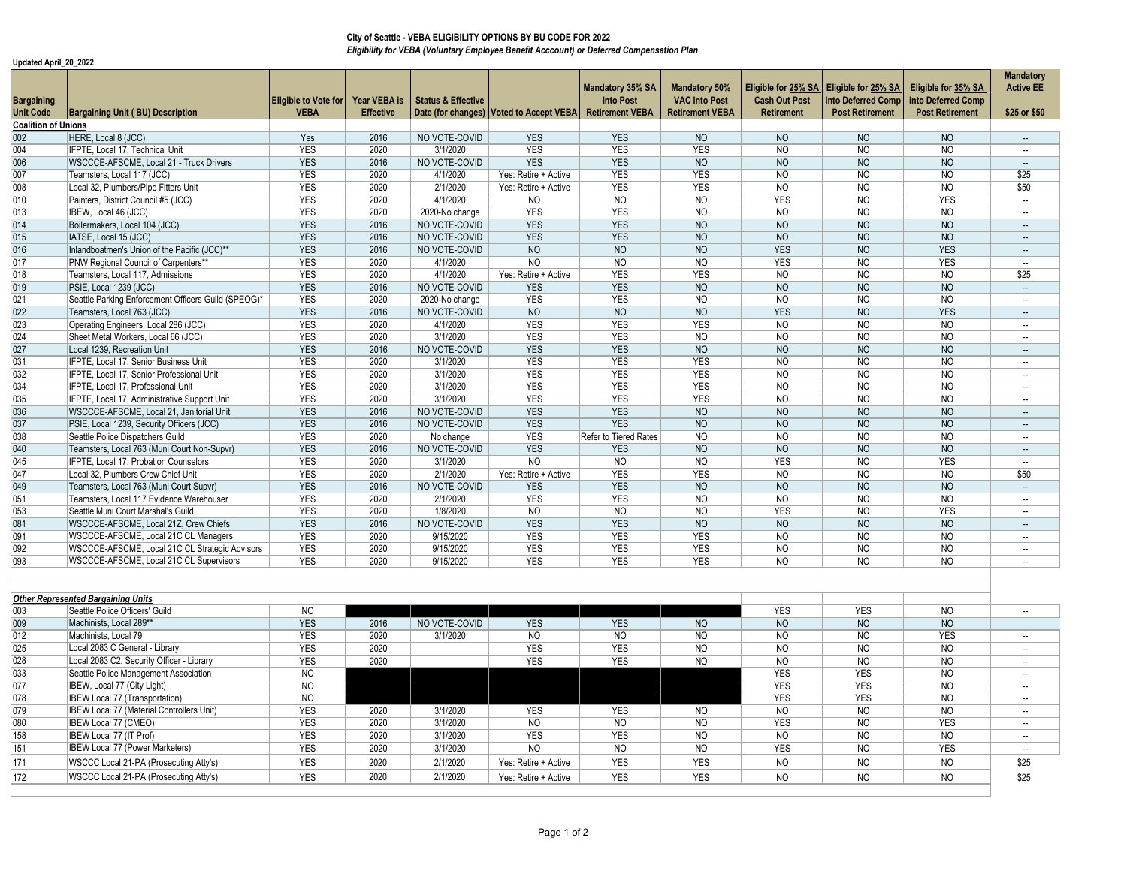**Update** 

092

093

|                                                         |                                                     |                                            |                                  |                               | City of Seattle - VEBA ELIGIBILITY OPTIONS BY BU CODE FOR 2022                           |                                                                |                                                                        |                                           |                                                                                           |                                                                     |                                   |
|---------------------------------------------------------|-----------------------------------------------------|--------------------------------------------|----------------------------------|-------------------------------|------------------------------------------------------------------------------------------|----------------------------------------------------------------|------------------------------------------------------------------------|-------------------------------------------|-------------------------------------------------------------------------------------------|---------------------------------------------------------------------|-----------------------------------|
|                                                         |                                                     |                                            |                                  |                               | Eligibility for VEBA (Voluntary Employee Benefit Acccount) or Deferred Compensation Plan |                                                                |                                                                        |                                           |                                                                                           |                                                                     |                                   |
| Updated April 20 2022<br><b>Bargaining</b><br>Unit Code | Bargaining Unit (BU) Description                    | <b>Eligible to Vote for</b><br><b>VEBA</b> | Year VEBA is<br><b>Effective</b> | <b>Status &amp; Effective</b> | Date (for changes) Voted to Accept VEBA                                                  | <b>Mandatory 35% SA</b><br>into Post<br><b>Retirement VEBA</b> | <b>Mandatory 50%</b><br><b>VAC into Post</b><br><b>Retirement VEBA</b> | <b>Cash Out Post</b><br><b>Retirement</b> | Eligible for 25% SA   Eligible for 25% SA<br>into Deferred Comp<br><b>Post Retirement</b> | Eligible for 35% SA<br>into Deferred Comp<br><b>Post Retirement</b> | Manda<br><b>Active</b><br>\$25 or |
| <b>Coalition of Unions</b>                              |                                                     |                                            |                                  |                               |                                                                                          |                                                                |                                                                        |                                           |                                                                                           |                                                                     |                                   |
| 002 <sub>2</sub>                                        | HERE, Local 8 (JCC)                                 | Yes                                        | 2016                             | NO VOTE-COVID                 | <b>YES</b>                                                                               | <b>YES</b>                                                     | <b>NO</b>                                                              | <b>NO</b>                                 | <b>NO</b>                                                                                 | <b>NO</b>                                                           | $\overline{\phantom{a}}$          |
| 004                                                     | IFPTE, Local 17, Technical Unit                     | <b>YES</b>                                 | 2020                             | 3/1/2020                      | <b>YES</b>                                                                               | <b>YES</b>                                                     | <b>YES</b>                                                             | N <sub>O</sub>                            | N <sub>O</sub>                                                                            | N <sub>O</sub>                                                      |                                   |
| 006                                                     | WSCCCE-AFSCME, Local 21 - Truck Drivers             | <b>YES</b>                                 | 2016                             | NO VOTE-COVID                 | <b>YES</b>                                                                               | <b>YES</b>                                                     | <b>NO</b>                                                              | <b>NO</b>                                 | N <sub>O</sub>                                                                            | N <sub>O</sub>                                                      |                                   |
| 007                                                     | Teamsters, Local 117 (JCC)                          | <b>YES</b>                                 | 2020                             | 4/1/2020                      | Yes: Retire + Active                                                                     | <b>YES</b>                                                     | <b>YES</b>                                                             | N <sub>O</sub>                            | N <sub>O</sub>                                                                            | N <sub>O</sub>                                                      | \$25                              |
| 800                                                     | Local 32, Plumbers/Pipe Fitters Unit                | <b>YES</b>                                 | 2020                             | 2/1/2020                      | Yes: Retire + Active                                                                     | <b>YES</b>                                                     | <b>YES</b>                                                             | N <sub>O</sub>                            | N <sub>O</sub>                                                                            | <b>NO</b>                                                           | \$50                              |
| 010                                                     | Painters, District Council #5 (JCC)                 | <b>YES</b>                                 | 2020                             | 4/1/2020                      | <b>NO</b>                                                                                | <b>NO</b>                                                      | <b>NO</b>                                                              | <b>YES</b>                                | <b>NO</b>                                                                                 | <b>YES</b>                                                          | $\overline{\phantom{a}}$          |
| 013                                                     | IBEW, Local 46 (JCC)                                | <b>YES</b>                                 | 2020                             | 2020-No change                | <b>YES</b>                                                                               | <b>YES</b>                                                     | N <sub>O</sub>                                                         | N <sub>O</sub>                            | N <sub>O</sub>                                                                            | <b>NO</b>                                                           | $\overline{\phantom{a}}$          |
| 014                                                     | Boilermakers, Local 104 (JCC)                       | <b>YES</b>                                 | 2016                             | NO VOTE-COVID                 | <b>YES</b>                                                                               | <b>YES</b>                                                     | <b>NO</b>                                                              | <b>NO</b>                                 | N <sub>O</sub>                                                                            | <b>NO</b>                                                           | $\overline{\phantom{a}}$          |
| 015                                                     | IATSE, Local 15 (JCC)                               | <b>YES</b>                                 | 2016                             | NO VOTE-COVID                 | <b>YES</b>                                                                               | <b>YES</b>                                                     | <b>NO</b>                                                              | <b>NO</b>                                 | <b>NO</b>                                                                                 | <b>NO</b>                                                           | $\overline{\phantom{a}}$          |
| 016                                                     | Inlandboatmen's Union of the Pacific (JCC)**        | <b>YES</b>                                 | 2016                             | NO VOTE-COVID                 | <b>NO</b>                                                                                | <b>NO</b>                                                      | <b>NO</b>                                                              | <b>YES</b>                                | N <sub>O</sub>                                                                            | <b>YES</b>                                                          | $\overline{\phantom{a}}$          |
| 017                                                     | PNW Regional Council of Carpenters**                | <b>YES</b>                                 | 2020                             | 4/1/2020                      | N <sub>O</sub>                                                                           | N <sub>O</sub>                                                 | <b>NO</b>                                                              | <b>YES</b>                                | <b>NO</b>                                                                                 | <b>YES</b>                                                          |                                   |
| 018                                                     | Teamsters, Local 117, Admissions                    | <b>YES</b>                                 | 2020                             | 4/1/2020                      | Yes: Retire + Active                                                                     | <b>YES</b>                                                     | <b>YES</b>                                                             | <b>NO</b>                                 | N <sub>O</sub>                                                                            | <b>NO</b>                                                           | \$25                              |
| 019                                                     | PSIE, Local 1239 (JCC)                              | <b>YES</b>                                 | 2016                             | NO VOTE-COVID                 | <b>YES</b>                                                                               | <b>YES</b>                                                     | <b>NO</b>                                                              | N <sub>O</sub>                            | N <sub>O</sub>                                                                            | N <sub>O</sub>                                                      | $\overline{\phantom{a}}$          |
| 021                                                     | Seattle Parking Enforcement Officers Guild (SPEOG)* | <b>YES</b>                                 | 2020                             | 2020-No change                | <b>YES</b>                                                                               | <b>YES</b>                                                     | N <sub>O</sub>                                                         | N <sub>O</sub>                            | N <sub>O</sub>                                                                            | N <sub>O</sub>                                                      | $\overline{\phantom{a}}$          |
| 022                                                     | Teamsters, Local 763 (JCC)                          | <b>YES</b>                                 | 2016                             | NO VOTE-COVID                 | <b>NO</b>                                                                                | N <sub>O</sub>                                                 | <b>NO</b>                                                              | <b>YES</b>                                | N <sub>O</sub>                                                                            | <b>YES</b>                                                          | $\overline{\phantom{a}}$          |
| 023                                                     | Operating Engineers, Local 286 (JCC)                | <b>YES</b>                                 | 2020                             | 4/1/2020                      | <b>YES</b>                                                                               | <b>YES</b>                                                     | <b>YES</b>                                                             | N <sub>O</sub>                            | N <sub>O</sub>                                                                            | N <sub>O</sub>                                                      | $\overline{\phantom{a}}$          |
| 024                                                     | Sheet Metal Workers, Local 66 (JCC)                 | <b>YES</b>                                 | 2020                             | 3/1/2020                      | <b>YES</b>                                                                               | <b>YES</b>                                                     | N <sub>O</sub>                                                         | N <sub>O</sub>                            | N <sub>O</sub>                                                                            | N <sub>O</sub>                                                      |                                   |
| 027                                                     | Local 1239. Recreation Unit                         | <b>YES</b>                                 | 2016                             | NO VOTE-COVID                 | <b>YES</b>                                                                               | <b>YES</b>                                                     | N <sub>O</sub>                                                         | N <sub>O</sub>                            | N <sub>O</sub>                                                                            | N <sub>O</sub>                                                      | $\overline{\phantom{a}}$          |
| 031                                                     | IFPTE, Local 17, Senior Business Unit               | <b>YES</b>                                 | 2020                             | 3/1/2020                      | <b>YES</b>                                                                               | <b>YES</b>                                                     | <b>YES</b>                                                             | <b>NO</b>                                 | <b>NO</b>                                                                                 | <b>NO</b>                                                           | $\overline{\phantom{a}}$          |
| 032                                                     | IFPTE, Local 17, Senior Professional Unit           | <b>YES</b>                                 | 2020                             | 3/1/2020                      | <b>YES</b>                                                                               | <b>YES</b>                                                     | <b>YES</b>                                                             | <b>NO</b>                                 | <b>NO</b>                                                                                 | <b>NO</b>                                                           |                                   |
| 034                                                     | IFPTE. Local 17. Professional Unit                  | <b>YES</b>                                 | 2020                             | 3/1/2020                      | <b>YES</b>                                                                               | <b>YES</b>                                                     | <b>YES</b>                                                             | <b>NO</b>                                 | N <sub>O</sub>                                                                            | <b>NO</b>                                                           | $\overline{\phantom{a}}$          |
| 035                                                     | IFPTE, Local 17, Administrative Support Unit        | <b>YES</b>                                 | 2020                             | 3/1/2020                      | <b>YES</b>                                                                               | <b>YES</b>                                                     | <b>YES</b>                                                             | N <sub>O</sub>                            | <b>NO</b>                                                                                 | <b>NO</b>                                                           | $\overline{\phantom{a}}$          |
| 036                                                     | WSCCCE-AFSCME. Local 21. Janitorial Unit            | <b>YES</b>                                 | 2016                             | NO VOTE-COVID                 | <b>YES</b>                                                                               | <b>YES</b>                                                     | N <sub>O</sub>                                                         | N <sub>O</sub>                            | N <sub>O</sub>                                                                            | N <sub>O</sub>                                                      |                                   |
| 037                                                     | PSIE, Local 1239, Security Officers (JCC)           | <b>YES</b>                                 | 2016                             | NO VOTE-COVID                 | <b>YES</b>                                                                               | <b>YES</b>                                                     | <b>NO</b>                                                              | <b>NO</b>                                 | <b>NO</b>                                                                                 | <b>NO</b>                                                           |                                   |
| 038                                                     | Seattle Police Dispatchers Guild                    | <b>YES</b>                                 | 2020                             | No change                     | <b>YES</b>                                                                               | Refer to Tiered Rates                                          | N <sub>O</sub>                                                         | <b>NO</b>                                 | <b>NO</b>                                                                                 | <b>NO</b>                                                           | $\overline{\phantom{a}}$          |
| 040                                                     | Teamsters, Local 763 (Muni Court Non-Supvr)         | <b>YES</b>                                 | 2016                             | NO VOTE-COVID                 | <b>YES</b>                                                                               | <b>YES</b>                                                     | N <sub>O</sub>                                                         | N <sub>O</sub>                            | N <sub>O</sub>                                                                            | N <sub>O</sub>                                                      | $\overline{\phantom{a}}$          |
| 045                                                     | IFPTE, Local 17, Probation Counselors               | <b>YES</b>                                 | 2020                             | 3/1/2020                      | N <sub>O</sub>                                                                           | N <sub>O</sub>                                                 | <b>NO</b>                                                              | <b>YES</b>                                | N <sub>O</sub>                                                                            | <b>YES</b>                                                          |                                   |
| 047                                                     | Local 32, Plumbers Crew Chief Unit                  | <b>YES</b>                                 | 2020                             | 2/1/2020                      | Yes: Retire + Active                                                                     | <b>YES</b>                                                     | <b>YES</b>                                                             | N <sub>O</sub>                            | N <sub>O</sub>                                                                            | N <sub>O</sub>                                                      | \$5C                              |
| 049                                                     | Teamsters, Local 763 (Muni Court Supvr)             | <b>YES</b>                                 | 2016                             | NO VOTE-COVID                 | <b>YES</b>                                                                               | <b>YES</b>                                                     | N <sub>O</sub>                                                         | N <sub>O</sub>                            | N <sub>O</sub>                                                                            | N <sub>O</sub>                                                      | $\overline{\phantom{a}}$          |
| 051                                                     | Teamsters, Local 117 Evidence Warehouser            | <b>YES</b>                                 | 2020                             | 2/1/2020                      | <b>YES</b>                                                                               | <b>YES</b>                                                     | N <sub>O</sub>                                                         | N <sub>O</sub>                            | N <sub>O</sub>                                                                            | N <sub>O</sub>                                                      |                                   |
| 053                                                     | Seattle Muni Court Marshal's Guild                  | <b>YES</b>                                 | 2020                             | 1/8/2020                      | N <sub>O</sub>                                                                           | N <sub>O</sub>                                                 | N <sub>O</sub>                                                         | <b>YES</b>                                | N <sub>O</sub>                                                                            | <b>YES</b>                                                          | $\overline{\phantom{a}}$          |
| 081                                                     | WSCCCE-AFSCME, Local 21Z, Crew Chiefs               | <b>YES</b>                                 | 2016                             | NO VOTE-COVID                 | <b>YES</b>                                                                               | <b>YES</b>                                                     | N <sub>O</sub>                                                         | N <sub>O</sub>                            | N <sub>O</sub>                                                                            | N <sub>O</sub>                                                      | $\overline{\phantom{a}}$          |
| 091                                                     | WSCCCE-AFSCME, Local 21C CL Managers                | <b>YES</b>                                 | 2020                             | 9/15/2020                     | <b>YES</b>                                                                               | <b>YES</b>                                                     | <b>YES</b>                                                             | <b>NO</b>                                 | <b>NO</b>                                                                                 | <b>NO</b>                                                           |                                   |

**Mandatory Active EE \$25 or \$50**

| Other Represented Bargaining Units |                                           |                |      |               |                      |                |                |                |                |                |                          |
|------------------------------------|-------------------------------------------|----------------|------|---------------|----------------------|----------------|----------------|----------------|----------------|----------------|--------------------------|
| 003                                | Seattle Police Officers' Guild            | N <sub>O</sub> |      |               |                      |                |                | <b>YES</b>     | <b>YES</b>     | N <sub>O</sub> | $\overline{\phantom{a}}$ |
| 009                                | Machinists, Local 289**                   | <b>YES</b>     | 2016 | NO VOTE-COVID | <b>YES</b>           | <b>YES</b>     | N <sub>O</sub> | <b>NO</b>      | N <sub>O</sub> | N <sub>O</sub> |                          |
| 012                                | Machinists, Local 79                      | <b>YES</b>     | 2020 | 3/1/2020      | <b>NO</b>            | N <sub>O</sub> | N <sub>O</sub> | N <sub>O</sub> | N <sub>O</sub> | <b>YES</b>     | $\sim$                   |
| 025                                | Local 2083 C General - Library            | <b>YES</b>     | 2020 |               | <b>YES</b>           | <b>YES</b>     | NO.            | N <sub>O</sub> | NO             | N <sub>O</sub> | $-$                      |
| 028                                | Local 2083 C2, Security Officer - Library | <b>YES</b>     | 2020 |               | <b>YES</b>           | <b>YES</b>     | N <sub>O</sub> | <b>NO</b>      | N <sub>O</sub> | N <sub>O</sub> | $-$                      |
| 033                                | Seattle Police Management Association     | N <sub>O</sub> |      |               |                      |                |                | <b>YES</b>     | <b>YES</b>     | N <sub>O</sub> | $-$                      |
| 077                                | IBEW, Local 77 (City Light)               | N <sub>O</sub> |      |               |                      |                |                | <b>YES</b>     | <b>YES</b>     | N <sub>O</sub> | $\sim$                   |
| 078                                | <b>IBEW Local 77 (Transportation)</b>     | N <sub>O</sub> |      |               |                      |                |                | <b>YES</b>     | <b>YES</b>     | N <sub>O</sub> | $-$                      |
| 079                                | IBEW Local 77 (Material Controllers Unit) | <b>YES</b>     | 2020 | 3/1/2020      | <b>YES</b>           | <b>YES</b>     | NO.            | N <sub>O</sub> | N <sub>O</sub> | N <sub>O</sub> | $-$                      |
| 080                                | IBEW Local 77 (CMEO)                      | <b>YES</b>     | 2020 | 3/1/2020      | <b>NO</b>            | N <sub>O</sub> | N <sub>O</sub> | <b>YES</b>     | N <sub>O</sub> | <b>YES</b>     | $-$                      |
| 158                                | <b>IBEW Local 77 (IT Prof)</b>            | <b>YES</b>     | 2020 | 3/1/2020      | <b>YES</b>           | <b>YES</b>     | N <sub>O</sub> | N <sub>O</sub> | N <sub>O</sub> | N <sub>O</sub> | $\sim$                   |
| 151                                | IBEW Local 77 (Power Marketers)           | <b>YES</b>     | 2020 | 3/1/2020      | N <sub>O</sub>       | <b>NO</b>      | N <sub>O</sub> | <b>YES</b>     | N <sub>O</sub> | <b>YES</b>     | $-$                      |
| 171                                | WSCCC Local 21-PA (Prosecuting Atty's)    | <b>YES</b>     | 2020 | 2/1/2020      | Yes: Retire + Active | <b>YES</b>     | YES            | NO             | N <sub>O</sub> | N <sub>O</sub> | \$25                     |
| 172                                | WSCCC Local 21-PA (Prosecuting Atty's)    | <b>YES</b>     | 2020 | 2/1/2020      | Yes: Retire + Active | <b>YES</b>     | <b>YES</b>     | <b>NO</b>      | N <sub>O</sub> | N <sub>O</sub> | \$25                     |
|                                    |                                           |                |      |               |                      |                |                |                |                |                |                          |

2 |WSCCCE-AFSCME, Local 21C CL Strategic Advisors | YES | 2020 | 9/15/2020 | YES | YES | YES | NO | NO | NO | --

3 |WSCCCE-AFSCME, Local 21C CL Supervisors | YES | 2020 | 9/15/2020 | YES | YES | YES | NO | NO | --